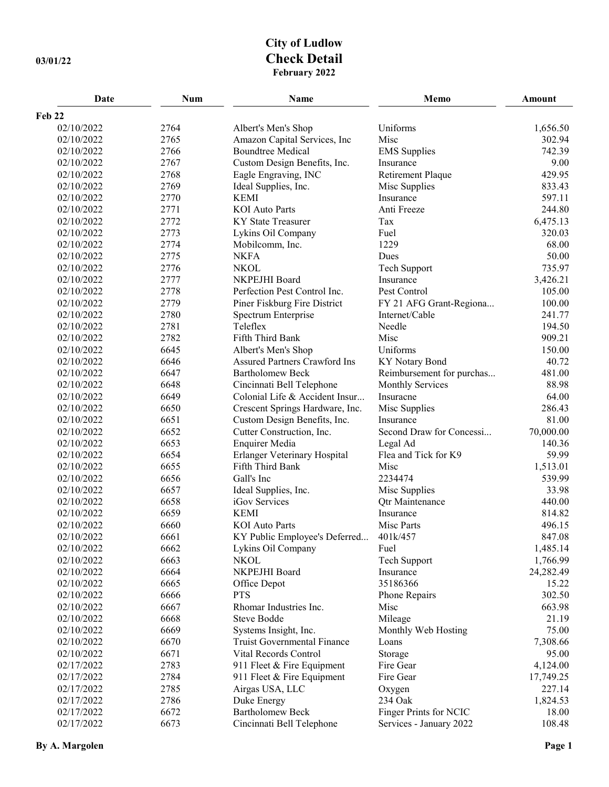## **City of Ludlow 03/01/22 Check Detail February 2022**

| Date       | <b>Num</b> | <b>Name</b>                          | Memo                      | <b>Amount</b> |
|------------|------------|--------------------------------------|---------------------------|---------------|
| Feb 22     |            |                                      |                           |               |
| 02/10/2022 | 2764       | Albert's Men's Shop                  | Uniforms                  | 1,656.50      |
| 02/10/2022 | 2765       | Amazon Capital Services, Inc         | Misc                      | 302.94        |
| 02/10/2022 | 2766       | <b>Boundtree Medical</b>             | <b>EMS</b> Supplies       | 742.39        |
| 02/10/2022 | 2767       | Custom Design Benefits, Inc.         | Insurance                 | 9.00          |
| 02/10/2022 | 2768       | Eagle Engraving, INC                 | Retirement Plaque         | 429.95        |
| 02/10/2022 | 2769       | Ideal Supplies, Inc.                 | Misc Supplies             | 833.43        |
| 02/10/2022 | 2770       | <b>KEMI</b>                          | Insurance                 | 597.11        |
| 02/10/2022 | 2771       | <b>KOI</b> Auto Parts                | Anti Freeze               | 244.80        |
| 02/10/2022 | 2772       | <b>KY State Treasurer</b>            | Tax                       | 6,475.13      |
| 02/10/2022 | 2773       | Lykins Oil Company                   | Fuel                      | 320.03        |
| 02/10/2022 | 2774       | Mobilcomm, Inc.                      | 1229                      | 68.00         |
| 02/10/2022 | 2775       | <b>NKFA</b>                          | Dues                      | 50.00         |
| 02/10/2022 | 2776       | <b>NKOL</b>                          | Tech Support              | 735.97        |
| 02/10/2022 | 2777       | NKPEJHI Board                        | Insurance                 | 3,426.21      |
| 02/10/2022 | 2778       | Perfection Pest Control Inc.         | Pest Control              | 105.00        |
| 02/10/2022 | 2779       | Piner Fiskburg Fire District         | FY 21 AFG Grant-Regiona   | 100.00        |
| 02/10/2022 | 2780       | Spectrum Enterprise                  | Internet/Cable            | 241.77        |
| 02/10/2022 | 2781       | Teleflex                             | Needle                    | 194.50        |
| 02/10/2022 | 2782       | Fifth Third Bank                     | Misc                      | 909.21        |
| 02/10/2022 | 6645       | Albert's Men's Shop                  | Uniforms                  | 150.00        |
| 02/10/2022 | 6646       | <b>Assured Partners Crawford Ins</b> | KY Notary Bond            | 40.72         |
| 02/10/2022 | 6647       | <b>Bartholomew Beck</b>              | Reimbursement for purchas | 481.00        |
| 02/10/2022 | 6648       | Cincinnati Bell Telephone            | <b>Monthly Services</b>   | 88.98         |
| 02/10/2022 | 6649       | Colonial Life & Accident Insur       | Insuracne                 | 64.00         |
| 02/10/2022 | 6650       | Crescent Springs Hardware, Inc.      | Misc Supplies             | 286.43        |
| 02/10/2022 | 6651       | Custom Design Benefits, Inc.         | Insurance                 | 81.00         |
| 02/10/2022 | 6652       | Cutter Construction, Inc.            | Second Draw for Concessi  | 70,000.00     |
| 02/10/2022 | 6653       | Enquirer Media                       | Legal Ad                  | 140.36        |
| 02/10/2022 | 6654       | Erlanger Veterinary Hospital         | Flea and Tick for K9      | 59.99         |
| 02/10/2022 | 6655       | Fifth Third Bank                     | Misc                      | 1,513.01      |
| 02/10/2022 | 6656       | Gall's Inc                           | 2234474                   | 539.99        |
| 02/10/2022 | 6657       | Ideal Supplies, Inc.                 | Misc Supplies             | 33.98         |
| 02/10/2022 | 6658       | iGov Services                        | <b>Qtr Maintenance</b>    | 440.00        |
| 02/10/2022 | 6659       | <b>KEMI</b>                          | Insurance                 | 814.82        |
| 02/10/2022 | 6660       | <b>KOI</b> Auto Parts                | Misc Parts                | 496.15        |
| 02/10/2022 | 6661       | KY Public Employee's Deferred        | 401k/457                  | 847.08        |
| 02/10/2022 | 6662       | Lykins Oil Company                   | Fuel                      | 1,485.14      |
| 02/10/2022 | 6663       | <b>NKOL</b>                          | Tech Support              | 1,766.99      |
| 02/10/2022 | 6664       | NKPEJHI Board                        | Insurance                 | 24,282.49     |
| 02/10/2022 | 6665       | Office Depot                         | 35186366                  | 15.22         |
| 02/10/2022 | 6666       | <b>PTS</b>                           | Phone Repairs             | 302.50        |
| 02/10/2022 | 6667       | Rhomar Industries Inc.               | Misc                      | 663.98        |
| 02/10/2022 | 6668       | <b>Steve Bodde</b>                   | Mileage                   | 21.19         |
| 02/10/2022 | 6669       | Systems Insight, Inc.                | Monthly Web Hosting       | 75.00         |
| 02/10/2022 | 6670       | Truist Governmental Finance          | Loans                     | 7,308.66      |
| 02/10/2022 | 6671       | Vital Records Control                | Storage                   | 95.00         |
| 02/17/2022 | 2783       | 911 Fleet & Fire Equipment           | Fire Gear                 | 4,124.00      |
| 02/17/2022 | 2784       | 911 Fleet & Fire Equipment           | Fire Gear                 | 17,749.25     |
| 02/17/2022 | 2785       | Airgas USA, LLC                      | Oxygen                    | 227.14        |
| 02/17/2022 | 2786       | Duke Energy                          | 234 Oak                   | 1,824.53      |
| 02/17/2022 | 6672       | <b>Bartholomew Beck</b>              | Finger Prints for NCIC    | 18.00         |
| 02/17/2022 | 6673       | Cincinnati Bell Telephone            | Services - January 2022   | 108.48        |